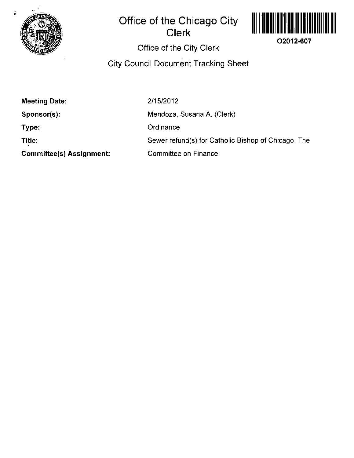

## **Office of the Chicago City Clerk**



## **Office of the City Clerk**

**City Council Document Tracking Sheet** 

| <b>Meeting Date:</b>            | 2/15/2012                                           |
|---------------------------------|-----------------------------------------------------|
| Sponsor(s):                     | Mendoza, Susana A. (Clerk)                          |
| Type:                           | Ordinance                                           |
| Title:                          | Sewer refund(s) for Catholic Bishop of Chicago, The |
| <b>Committee(s) Assignment:</b> | Committee on Finance                                |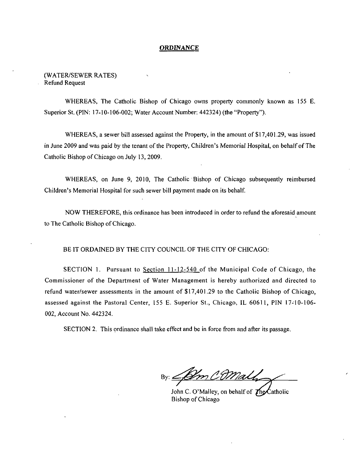#### **ORDINANCE**

(WATER/SEWER RATES) Refund Request

WHEREAS, The Catholic Bishop of Chicago owns property commonly known as 155 E. Superior St. (PIN: 17-10-106-002; Water Account Number: 442324) (the "Property").

WHEREAS, a sewer bill assessed against the Property, in the amount of \$17,401.29, was issued in June 2009 and was paid by the tenant of the Property, Children's Memorial Hospital, on behalf of The Catholic Bishop of Chicago on July 13, 2009.

WHEREAS, on June 9, 2010, The Catholic Bishop of Chicago subsequently reimbursed Children's Memorial Hospital for such sewer bill payment made on its behalf

NOW THEREFORE, this ordinance has been introduced in order to refund the aforesaid amount to The Catholic Bishop of Chicago.

BE IT ORDAINED BY THE CITY COUNCIL OF THE CITY OF CHICAGO:

SECTION 1. Pursuant to Section  $11-12-540$  of the Municipal Code of Chicago, the Commissioner of the Department of Water Management is hereby authorized and directed to refund water/sewer assessments in the amount of \$17,401.29 to the Catholic Bishop of Chicago, assessed against the Pastoral Center, 155 E. Superior St., Chicago, IL 60611, PIN 17-10-106- 002, Account No. 442324.

SECTION 2. This ordinance shall take effect and be in force from and after its passage.

*Bv: ^yfg!^?^ rj^JJy/^A* 

John C. O'Malley, on behalf of  $\mathcal{T}_{\text{ng}}$  atholic Bishop of Chicago